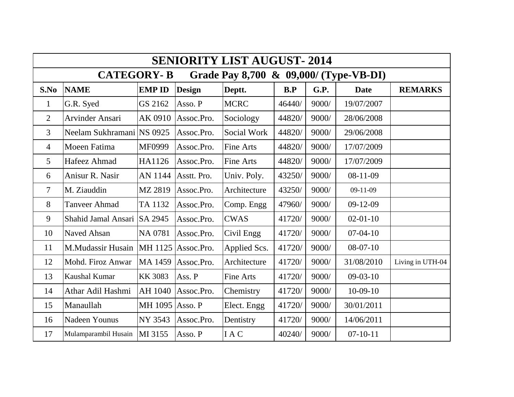| <b>SENIORITY LIST AUGUST- 2014</b>                          |                           |                 |               |                  |        |       |                |                  |  |  |  |  |
|-------------------------------------------------------------|---------------------------|-----------------|---------------|------------------|--------|-------|----------------|------------------|--|--|--|--|
| Grade Pay 8,700 & 09,000/ (Type-VB-DI)<br><b>CATEGORY-B</b> |                           |                 |               |                  |        |       |                |                  |  |  |  |  |
| S.No                                                        | <b>NAME</b>               | <b>EMP ID</b>   | <b>Design</b> | Deptt.           | B.P    | G.P.  | <b>Date</b>    | <b>REMARKS</b>   |  |  |  |  |
| $\mathbf{1}$                                                | G.R. Syed                 | GS 2162         | Asso. P       | <b>MCRC</b>      | 46440/ | 9000/ | 19/07/2007     |                  |  |  |  |  |
| $\overline{2}$                                              | <b>Arvinder Ansari</b>    | AK 0910         | Assoc.Pro.    | Sociology        | 44820/ | 9000/ | 28/06/2008     |                  |  |  |  |  |
| $\mathfrak{Z}$                                              | Neelam Sukhramani NS 0925 |                 | Assoc.Pro.    | Social Work      | 44820/ | 9000/ | 29/06/2008     |                  |  |  |  |  |
| $\overline{4}$                                              | Moeen Fatima              | MF0999          | Assoc.Pro.    | Fine Arts        | 44820/ | 9000/ | 17/07/2009     |                  |  |  |  |  |
| 5                                                           | Hafeez Ahmad              | HA1126          | Assoc.Pro.    | <b>Fine Arts</b> | 44820/ | 9000/ | 17/07/2009     |                  |  |  |  |  |
| 6                                                           | Anisur R. Nasir           | AN 1144         | Asstt. Pro.   | Univ. Poly.      | 43250/ | 9000/ | $08-11-09$     |                  |  |  |  |  |
| $\overline{7}$                                              | M. Ziauddin               | MZ 2819         | Assoc.Pro.    | Architecture     | 43250/ | 9000/ | $09-11-09$     |                  |  |  |  |  |
| 8                                                           | Tanveer Ahmad             | TA 1132         | Assoc.Pro.    | Comp. Engg       | 47960/ | 9000/ | $09-12-09$     |                  |  |  |  |  |
| 9                                                           | Shahid Jamal Ansari       | SA 2945         | Assoc.Pro.    | <b>CWAS</b>      | 41720/ | 9000/ | $02 - 01 - 10$ |                  |  |  |  |  |
| 10                                                          | <b>Naved Ahsan</b>        | NA 0781         | Assoc.Pro.    | Civil Engg       | 41720/ | 9000/ | $07-04-10$     |                  |  |  |  |  |
| 11                                                          | M.Mudassir Husain         | MH 1125         | Assoc.Pro.    | Applied Scs.     | 41720/ | 9000/ | $08-07-10$     |                  |  |  |  |  |
| 12                                                          | Mohd. Firoz Anwar         | MA 1459         | Assoc.Pro.    | Architecture     | 41720/ | 9000/ | 31/08/2010     | Living in UTH-04 |  |  |  |  |
| 13                                                          | Kaushal Kumar             | <b>KK 3083</b>  | Ass. P        | Fine Arts        | 41720/ | 9000/ | $09-03-10$     |                  |  |  |  |  |
| 14                                                          | Athar Adil Hashmi         | AH 1040         | Assoc.Pro.    | Chemistry        | 41720/ | 9000/ | $10-09-10$     |                  |  |  |  |  |
| 15                                                          | Manaullah                 | MH 1095 Asso. P |               | Elect. Engg      | 41720/ | 9000/ | 30/01/2011     |                  |  |  |  |  |
| 16                                                          | <b>Nadeen Younus</b>      | NY 3543         | Assoc.Pro.    | Dentistry        | 41720/ | 9000/ | 14/06/2011     |                  |  |  |  |  |
| 17                                                          | Mulamparambil Husain      | MI 3155         | Asso. P       | <b>IAC</b>       | 40240/ | 9000/ | $07 - 10 - 11$ |                  |  |  |  |  |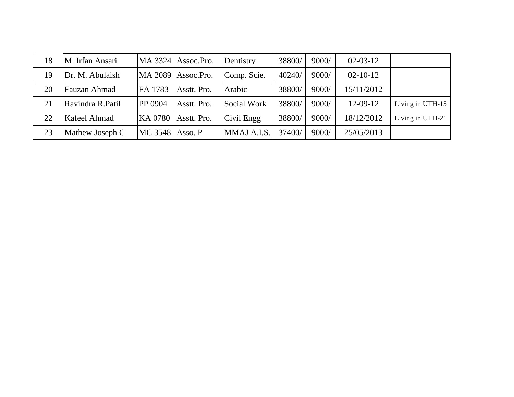| 18 | M. Irfan Ansari  |                        | $MA$ 3324 $ Assoc.Pro.$ | Dentistry   | 38800/ | 9000/ | $02 - 03 - 12$ |                  |
|----|------------------|------------------------|-------------------------|-------------|--------|-------|----------------|------------------|
| 19 | Dr. M. Abulaish  |                        | MA 2089 Assoc.Pro.      | Comp. Scie. | 40240/ | 9000/ | $02 - 10 - 12$ |                  |
| 20 | Fauzan Ahmad     | FA 1783                | Asstt. Pro.             | Arabic      | 38800/ | 9000/ | 15/11/2012     |                  |
| 21 | Ravindra R.Patil | <b>PP 0904</b>         | Asstt. Pro.             | Social Work | 38800/ | 9000/ | $12-09-12$     | Living in UTH-15 |
| 22 | Kafeel Ahmad     | KA 0780                | Asstt. Pro.             | Civil Engg  | 38800/ | 9000/ | 18/12/2012     | Living in UTH-21 |
| 23 | Mathew Joseph C  | <b>MC 3548 Asso. P</b> |                         | MMAJ A.I.S. | 37400/ | 9000/ | 25/05/2013     |                  |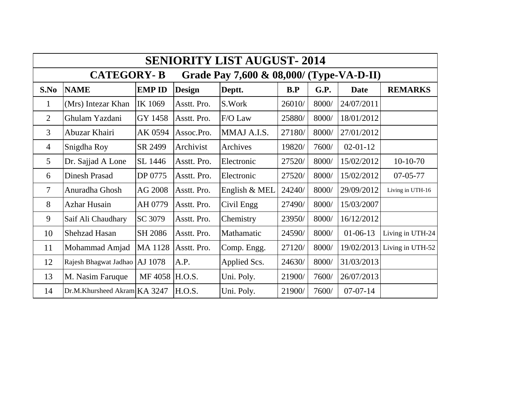| <b>SENIORITY LIST AUGUST-2014</b> |                                                               |                |               |               |        |       |                |                  |  |  |  |  |
|-----------------------------------|---------------------------------------------------------------|----------------|---------------|---------------|--------|-------|----------------|------------------|--|--|--|--|
|                                   | <b>CATEGORY-B</b><br>Grade Pay 7,600 & 08,000/ (Type-VA-D-II) |                |               |               |        |       |                |                  |  |  |  |  |
| S.No                              | <b>NAME</b>                                                   | <b>EMP ID</b>  | <b>Design</b> | Deptt.        | B.P    | G.P.  | <b>Date</b>    | <b>REMARKS</b>   |  |  |  |  |
| $\mathbf{1}$                      | (Mrs) Intezar Khan                                            | IK 1069        | Asstt. Pro.   | S.Work        | 26010/ | 8000/ | 24/07/2011     |                  |  |  |  |  |
| 2                                 | Ghulam Yazdani                                                | GY 1458        | Asstt. Pro.   | F/O Law       | 25880/ | 8000/ | 18/01/2012     |                  |  |  |  |  |
| $\overline{3}$                    | Abuzar Khairi                                                 | AK 0594        | Assoc.Pro.    | MMAJ A.I.S.   | 27180/ | 8000/ | 27/01/2012     |                  |  |  |  |  |
| $\overline{4}$                    | Snigdha Roy                                                   | SR 2499        | Archivist     | Archives      | 19820/ | 7600/ | $02 - 01 - 12$ |                  |  |  |  |  |
| $\mathfrak{S}$                    | Dr. Sajjad A Lone                                             | SL 1446        | Asstt. Pro.   | Electronic    | 27520/ | 8000/ | 15/02/2012     | $10-10-70$       |  |  |  |  |
| 6                                 | <b>Dinesh Prasad</b>                                          | DP 0775        | Asstt. Pro.   | Electronic    | 27520/ | 8000/ | 15/02/2012     | $07 - 05 - 77$   |  |  |  |  |
| $\overline{7}$                    | Anuradha Ghosh                                                | AG 2008        | Asstt. Pro.   | English & MEL | 24240/ | 8000/ | 29/09/2012     | Living in UTH-16 |  |  |  |  |
| 8                                 | <b>Azhar Husain</b>                                           | AH 0779        | Asstt. Pro.   | Civil Engg    | 27490/ | 8000/ | 15/03/2007     |                  |  |  |  |  |
| 9                                 | Saif Ali Chaudhary                                            | SC 3079        | Asstt. Pro.   | Chemistry     | 23950/ | 8000/ | 16/12/2012     |                  |  |  |  |  |
| 10                                | <b>Shehzad Hasan</b>                                          | SH 2086        | Asstt. Pro.   | Mathamatic    | 24590/ | 8000/ | $01-06-13$     | Living in UTH-24 |  |  |  |  |
| 11                                | Mohammad Amjad                                                | MA 1128        | Asstt. Pro.   | Comp. Engg.   | 27120/ | 8000/ | 19/02/2013     | Living in UTH-52 |  |  |  |  |
| 12                                | Rajesh Bhagwat Jadhao   AJ 1078                               |                | A.P.          | Applied Scs.  | 24630/ | 8000/ | 31/03/2013     |                  |  |  |  |  |
| 13                                | M. Nasim Faruque                                              | MF 4058 H.O.S. |               | Uni. Poly.    | 21900/ | 7600/ | 26/07/2013     |                  |  |  |  |  |
| 14                                | Dr.M.Khursheed Akram KA 3247                                  |                | H.O.S.        | Uni. Poly.    | 21900/ | 7600/ | $07 - 07 - 14$ |                  |  |  |  |  |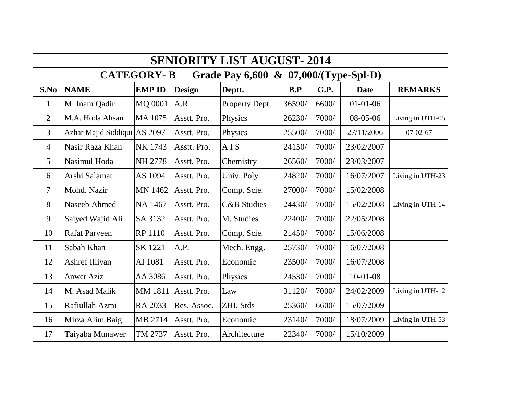| <b>SENIORITY LIST AUGUST-2014</b>                          |                              |                |                     |                        |        |       |                |                  |  |  |  |  |
|------------------------------------------------------------|------------------------------|----------------|---------------------|------------------------|--------|-------|----------------|------------------|--|--|--|--|
| <b>CATEGORY-B</b><br>Grade Pay 6,600 & 07,000/(Type-Spl-D) |                              |                |                     |                        |        |       |                |                  |  |  |  |  |
| S.No                                                       | <b>NAME</b>                  | <b>EMP ID</b>  | <b>Design</b>       | Deptt.                 | B.P    | G.P.  | <b>Date</b>    | <b>REMARKS</b>   |  |  |  |  |
| $\mathbf{1}$                                               | M. Inam Qadir                | MQ 0001        | A.R.                | Property Dept.         | 36590/ | 6600/ | $01 - 01 - 06$ |                  |  |  |  |  |
| $\overline{2}$                                             | M.A. Hoda Ahsan              | MA 1075        | Asstt. Pro.         | Physics                | 26230/ | 7000/ | $08-05-06$     | Living in UTH-05 |  |  |  |  |
| 3                                                          | Azhar Majid Siddiqui AS 2097 |                | Asstt. Pro.         | Physics                | 25500/ | 7000/ | 27/11/2006     | $07-02-67$       |  |  |  |  |
| $\overline{4}$                                             | Nasir Raza Khan              | NK 1743        | Asstt. Pro.         | AIS                    | 24150/ | 7000/ | 23/02/2007     |                  |  |  |  |  |
| 5                                                          | Nasimul Hoda                 | NH 2778        | Asstt. Pro.         | Chemistry              | 26560/ | 7000/ | 23/03/2007     |                  |  |  |  |  |
| 6                                                          | Arshi Salamat                | AS 1094        | Asstt. Pro.         | Univ. Poly.            | 24820/ | 7000/ | 16/07/2007     | Living in UTH-23 |  |  |  |  |
| $\overline{\mathcal{L}}$                                   | Mohd. Nazir                  | <b>MN 1462</b> | Asstt. Pro.         | Comp. Scie.            | 27000/ | 7000/ | 15/02/2008     |                  |  |  |  |  |
| 8                                                          | Naseeb Ahmed                 | NA 1467        | Asstt. Pro.         | <b>C&amp;B</b> Studies | 24430/ | 7000/ | 15/02/2008     | Living in UTH-14 |  |  |  |  |
| 9                                                          | Saiyed Wajid Ali             | SA 3132        | Asstt. Pro.         | M. Studies             | 22400/ | 7000/ | 22/05/2008     |                  |  |  |  |  |
| 10                                                         | <b>Rafat Parveen</b>         | <b>RP 1110</b> | Asstt. Pro.         | Comp. Scie.            | 21450/ | 7000/ | 15/06/2008     |                  |  |  |  |  |
| 11                                                         | Sabah Khan                   | <b>SK1221</b>  | A.P.                | Mech. Engg.            | 25730/ | 7000/ | 16/07/2008     |                  |  |  |  |  |
| 12                                                         | Ashref Illiyan               | AI 1081        | Asstt. Pro.         | Economic               | 23500/ | 7000/ | 16/07/2008     |                  |  |  |  |  |
| 13                                                         | <b>Anwer Aziz</b>            | AA 3086        | Asstt. Pro.         | Physics                | 24530/ | 7000/ | $10-01-08$     |                  |  |  |  |  |
| 14                                                         | M. Asad Malik                |                | MM 1811 Asstt. Pro. | Law                    | 31120/ | 7000/ | 24/02/2009     | Living in UTH-12 |  |  |  |  |
| 15                                                         | Rafiullah Azmi               | RA 2033        | Res. Assoc.         | ZHI. Stds              | 25360/ | 6600/ | 15/07/2009     |                  |  |  |  |  |
| 16                                                         | Mirza Alim Baig              | MB 2714        | Asstt. Pro.         | Economic               | 23140/ | 7000/ | 18/07/2009     | Living in UTH-53 |  |  |  |  |
| 17                                                         | Taiyaba Munawer              | TM 2737        | Asstt. Pro.         | Architecture           | 22340/ | 7000/ | 15/10/2009     |                  |  |  |  |  |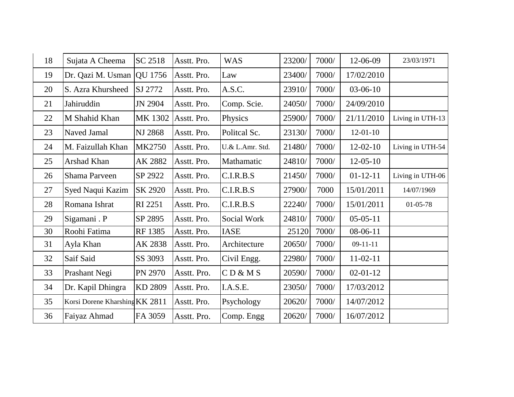| 18 | Sujata A Cheema                | SC 2518       | Asstt. Pro. | <b>WAS</b>      | 23200/ | 7000/ | 12-06-09       | 23/03/1971       |
|----|--------------------------------|---------------|-------------|-----------------|--------|-------|----------------|------------------|
| 19 | Dr. Qazi M. Usman              | QU 1756       | Asstt. Pro. | Law             | 23400/ | 7000/ | 17/02/2010     |                  |
| 20 | S. Azra Khursheed              | SJ 2772       | Asstt. Pro. | A.S.C.          | 23910/ | 7000/ | $03-06-10$     |                  |
| 21 | Jahiruddin                     | JN 2904       | Asstt. Pro. | Comp. Scie.     | 24050/ | 7000/ | 24/09/2010     |                  |
| 22 | M Shahid Khan                  | MK 1302       | Asstt. Pro. | Physics         | 25900/ | 7000/ | 21/11/2010     | Living in UTH-13 |
| 23 | Naved Jamal                    | NJ 2868       | Asstt. Pro. | Politcal Sc.    | 23130/ | 7000/ | $12 - 01 - 10$ |                  |
| 24 | M. Faizullah Khan              | <b>MK2750</b> | Asstt. Pro. | U.& L.Amr. Std. | 21480/ | 7000/ | $12-02-10$     | Living in UTH-54 |
| 25 | Arshad Khan                    | AK 2882       | Asstt. Pro. | Mathamatic      | 24810/ | 7000/ | $12 - 05 - 10$ |                  |
| 26 | Shama Parveen                  | SP 2922       | Asstt. Pro. | C.I.R.B.S       | 21450/ | 7000/ | $01 - 12 - 11$ | Living in UTH-06 |
| 27 | Syed Naqui Kazim               | SK 2920       | Asstt. Pro. | C.I.R.B.S       | 27900/ | 7000  | 15/01/2011     | 14/07/1969       |
| 28 | Romana Ishrat                  | RI 2251       | Asstt. Pro. | C.I.R.B.S       | 22240/ | 7000/ | 15/01/2011     | 01-05-78         |
| 29 | Sigamani . P                   | SP 2895       | Asstt. Pro. | Social Work     | 24810/ | 7000/ | $05-05-11$     |                  |
| 30 | Roohi Fatima                   | RF 1385       | Asstt. Pro. | <b>IASE</b>     | 25120  | 7000/ | $08-06-11$     |                  |
| 31 | Ayla Khan                      | AK 2838       | Asstt. Pro. | Architecture    | 20650/ | 7000/ | $09-11-11$     |                  |
| 32 | Saif Said                      | SS 3093       | Asstt. Pro. | Civil Engg.     | 22980/ | 7000/ | $11-02-11$     |                  |
| 33 | Prashant Negi                  | PN 2970       | Asstt. Pro. | CD & MS         | 20590/ | 7000/ | $02 - 01 - 12$ |                  |
| 34 | Dr. Kapil Dhingra              | KD 2809       | Asstt. Pro. | I.A.S.E.        | 23050/ | 7000/ | 17/03/2012     |                  |
| 35 | Korsi Dorene Kharshing KK 2811 |               | Asstt. Pro. | Psychology      | 20620/ | 7000/ | 14/07/2012     |                  |
| 36 | Faiyaz Ahmad                   | FA 3059       | Asstt. Pro. | Comp. Engg      | 20620/ | 7000/ | 16/07/2012     |                  |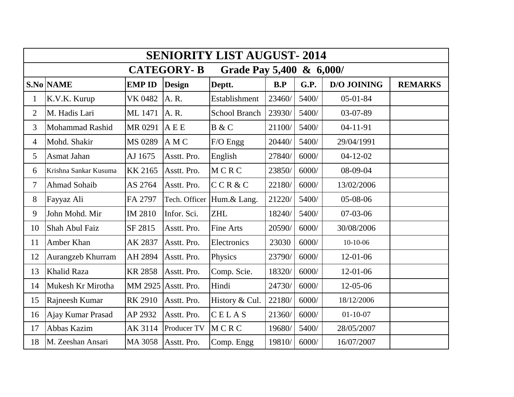| <b>SENIORITY LIST AUGUST-2014</b> |                                               |                |               |                      |        |       |                    |                |  |  |  |  |  |
|-----------------------------------|-----------------------------------------------|----------------|---------------|----------------------|--------|-------|--------------------|----------------|--|--|--|--|--|
|                                   | <b>CATEGORY-B</b><br>Grade Pay 5,400 & 6,000/ |                |               |                      |        |       |                    |                |  |  |  |  |  |
|                                   | <b>S.No NAME</b>                              | <b>EMP ID</b>  | <b>Design</b> | Deptt.               | B.P    | G.P.  | <b>D/O JOINING</b> | <b>REMARKS</b> |  |  |  |  |  |
| $\mathbf{1}$                      | K.V.K. Kurup                                  | <b>VK 0482</b> | A. R.         | Establishment        | 23460/ | 5400/ | $05 - 01 - 84$     |                |  |  |  |  |  |
| $\overline{2}$                    | M. Hadis Lari                                 | ML 1471        | A. R.         | <b>School Branch</b> | 23930/ | 5400/ | 03-07-89           |                |  |  |  |  |  |
| $\overline{3}$                    | Mohammad Rashid                               | MR 0291        | <b>AEE</b>    | B & C                | 21100/ | 5400/ | $04-11-91$         |                |  |  |  |  |  |
| $\overline{4}$                    | Mohd. Shakir                                  | MS 0289        | A M C         | F/O Engg             | 20440/ | 5400/ | 29/04/1991         |                |  |  |  |  |  |
| 5                                 | Asmat Jahan                                   | AJ 1675        | Asstt. Pro.   | English              | 27840/ | 6000/ | $04 - 12 - 02$     |                |  |  |  |  |  |
| 6                                 | Krishna Sankar Kusuma                         | <b>KK 2165</b> | Asstt. Pro.   | MCRC                 | 23850/ | 6000/ | 08-09-04           |                |  |  |  |  |  |
| $\overline{7}$                    | <b>Ahmad Sohaib</b>                           | AS 2764        | Asstt. Pro.   | CCR&C                | 22180/ | 6000/ | 13/02/2006         |                |  |  |  |  |  |
| 8                                 | Fayyaz Ali                                    | FA 2797        | Tech. Officer | Hum.& Lang.          | 21220/ | 5400/ | 05-08-06           |                |  |  |  |  |  |
| 9                                 | John Mohd. Mir                                | IM 2810        | Infor. Sci.   | <b>ZHL</b>           | 18240/ | 5400/ | $07-03-06$         |                |  |  |  |  |  |
| 10                                | Shah Abul Faiz                                | SF 2815        | Asstt. Pro.   | Fine Arts            | 20590/ | 6000/ | 30/08/2006         |                |  |  |  |  |  |
| 11                                | Amber Khan                                    | AK 2837        | Asstt. Pro.   | Electronics          | 23030  | 6000/ | $10-10-06$         |                |  |  |  |  |  |
| 12                                | Aurangzeb Khurram                             | AH 2894        | Asstt. Pro.   | Physics              | 23790/ | 6000/ | 12-01-06           |                |  |  |  |  |  |
| 13                                | <b>Khalid Raza</b>                            | <b>KR 2858</b> | Asstt. Pro.   | Comp. Scie.          | 18320/ | 6000/ | 12-01-06           |                |  |  |  |  |  |
| 14                                | Mukesh Kr Mirotha                             | MM 2925        | Asstt. Pro.   | Hindi                | 24730/ | 6000/ | 12-05-06           |                |  |  |  |  |  |
| 15                                | Rajneesh Kumar                                | <b>RK 2910</b> | Asstt. Pro.   | History & Cul.       | 22180/ | 6000/ | 18/12/2006         |                |  |  |  |  |  |
| 16                                | Ajay Kumar Prasad                             | AP 2932        | Asstt. Pro.   | CELAS                | 21360/ | 6000/ | $01 - 10 - 07$     |                |  |  |  |  |  |
| 17                                | Abbas Kazim                                   | AK 3114        | Producer TV   | MCRC                 | 19680/ | 5400/ | 28/05/2007         |                |  |  |  |  |  |
| 18                                | M. Zeeshan Ansari                             | MA 3058        | Asstt. Pro.   | Comp. Engg           | 19810/ | 6000/ | 16/07/2007         |                |  |  |  |  |  |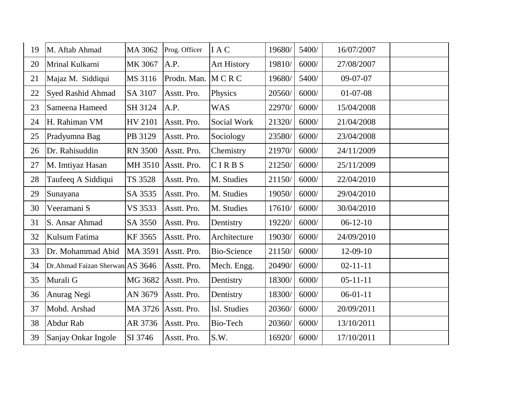| 19 | M. Aftab Ahmad                  | MA 3062        | Prog. Officer | I A C              | 19680/ | 5400/ | 16/07/2007     |  |
|----|---------------------------------|----------------|---------------|--------------------|--------|-------|----------------|--|
| 20 | Mrinal Kulkarni                 | MK 3067        | A.P.          | <b>Art History</b> | 19810/ | 6000/ | 27/08/2007     |  |
| 21 | Majaz M. Siddiqui               | MS 3116        | Prodn. Man.   | MCRC               | 19680/ | 5400/ | $09-07-07$     |  |
| 22 | <b>Syed Rashid Ahmad</b>        | SA 3107        | Asstt. Pro.   | Physics            | 20560/ | 6000/ | $01-07-08$     |  |
| 23 | Sameena Hameed                  | SH 3124        | A.P.          | <b>WAS</b>         | 22970/ | 6000/ | 15/04/2008     |  |
| 24 | H. Rahiman VM                   | HV 2101        | Asstt. Pro.   | Social Work        | 21320/ | 6000/ | 21/04/2008     |  |
| 25 | Pradyumna Bag                   | PB 3129        | Asstt. Pro.   | Sociology          | 23580/ | 6000/ | 23/04/2008     |  |
| 26 | Dr. Rahisuddin                  | <b>RN 3500</b> | Asstt. Pro.   | Chemistry          | 21970/ | 6000/ | 24/11/2009     |  |
| 27 | M. Imtiyaz Hasan                | MH 3510        | Asstt. Pro.   | CIRBS              | 21250/ | 6000/ | 25/11/2009     |  |
| 28 | Taufeeq A Siddiqui              | TS 3528        | Asstt. Pro.   | M. Studies         | 21150/ | 6000/ | 22/04/2010     |  |
| 29 | Sunayana                        | SA 3535        | Asstt. Pro.   | M. Studies         | 19050/ | 6000/ | 29/04/2010     |  |
| 30 | Veeramani S                     | VS 3533        | Asstt. Pro.   | M. Studies         | 17610/ | 6000/ | 30/04/2010     |  |
| 31 | S. Ansar Ahmad                  | SA 3550        | Asstt. Pro.   | Dentistry          | 19220/ | 6000/ | $06-12-10$     |  |
| 32 | Kulsum Fatima                   | KF 3565        | Asstt. Pro.   | Architecture       | 19030/ | 6000/ | 24/09/2010     |  |
| 33 | Dr. Mohammad Abid               | MA 3591        | Asstt. Pro.   | <b>Bio-Science</b> | 21150/ | 6000/ | $12-09-10$     |  |
| 34 | Dr.Ahmad Faizan Sherwan AS 3646 |                | Asstt. Pro.   | Mech. Engg.        | 20490/ | 6000/ | $02 - 11 - 11$ |  |
| 35 | Murali G                        | MG 3682        | Asstt. Pro.   | Dentistry          | 18300/ | 6000/ | $05 - 11 - 11$ |  |
| 36 | Anurag Negi                     | AN 3679        | Asstt. Pro.   | Dentistry          | 18300/ | 6000/ | $06-01-11$     |  |
| 37 | Mohd. Arshad                    | MA 3726        | Asstt. Pro.   | Isl. Studies       | 20360/ | 6000/ | 20/09/2011     |  |
| 38 | Abdur Rab                       | AR 3736        | Asstt. Pro.   | Bio-Tech           | 20360/ | 6000/ | 13/10/2011     |  |
| 39 | Sanjay Onkar Ingole             | SI 3746        | Asstt. Pro.   | S.W.               | 16920/ | 6000/ | 17/10/2011     |  |